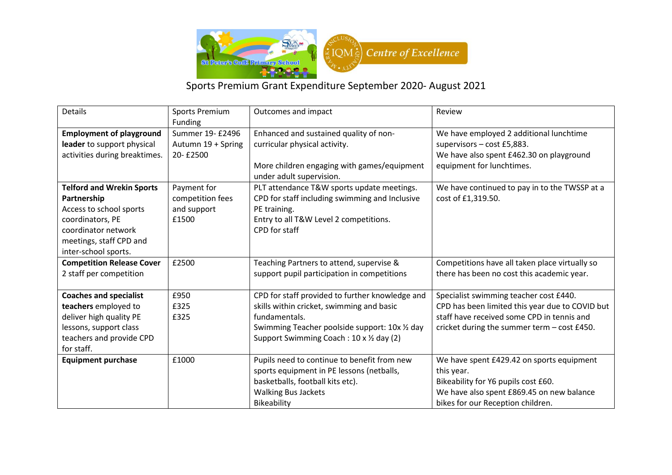

## Sports Premium Grant Expenditure September 2020- August 2021

| <b>Details</b>                                                                                                                                                           | <b>Sports Premium</b><br>Funding                        | Outcomes and impact                                                                                                                                                                                         | Review                                                                                                                                                                                 |
|--------------------------------------------------------------------------------------------------------------------------------------------------------------------------|---------------------------------------------------------|-------------------------------------------------------------------------------------------------------------------------------------------------------------------------------------------------------------|----------------------------------------------------------------------------------------------------------------------------------------------------------------------------------------|
| <b>Employment of playground</b><br>leader to support physical<br>activities during breaktimes.                                                                           | Summer 19- £2496<br>Autumn 19 + Spring<br>20-£2500      | Enhanced and sustained quality of non-<br>curricular physical activity.<br>More children engaging with games/equipment<br>under adult supervision.                                                          | We have employed 2 additional lunchtime<br>supervisors - cost £5,883.<br>We have also spent £462.30 on playground<br>equipment for lunchtimes.                                         |
| <b>Telford and Wrekin Sports</b><br>Partnership<br>Access to school sports<br>coordinators, PE<br>coordinator network<br>meetings, staff CPD and<br>inter-school sports. | Payment for<br>competition fees<br>and support<br>£1500 | PLT attendance T&W sports update meetings.<br>CPD for staff including swimming and Inclusive<br>PE training.<br>Entry to all T&W Level 2 competitions.<br>CPD for staff                                     | We have continued to pay in to the TWSSP at a<br>cost of £1,319.50.                                                                                                                    |
| <b>Competition Release Cover</b><br>2 staff per competition                                                                                                              | £2500                                                   | Teaching Partners to attend, supervise &<br>support pupil participation in competitions                                                                                                                     | Competitions have all taken place virtually so<br>there has been no cost this academic year.                                                                                           |
| <b>Coaches and specialist</b><br>teachers employed to<br>deliver high quality PE<br>lessons, support class<br>teachers and provide CPD<br>for staff.                     | £950<br>£325<br>£325                                    | CPD for staff provided to further knowledge and<br>skills within cricket, swimming and basic<br>fundamentals.<br>Swimming Teacher poolside support: 10x 1/2 day<br>Support Swimming Coach: 10 x 1/2 day (2) | Specialist swimming teacher cost £440.<br>CPD has been limited this year due to COVID but<br>staff have received some CPD in tennis and<br>cricket during the summer term - cost £450. |
| <b>Equipment purchase</b>                                                                                                                                                | £1000                                                   | Pupils need to continue to benefit from new<br>sports equipment in PE lessons (netballs,<br>basketballs, football kits etc).<br><b>Walking Bus Jackets</b><br>Bikeability                                   | We have spent £429.42 on sports equipment<br>this year.<br>Bikeability for Y6 pupils cost £60.<br>We have also spent £869.45 on new balance<br>bikes for our Reception children.       |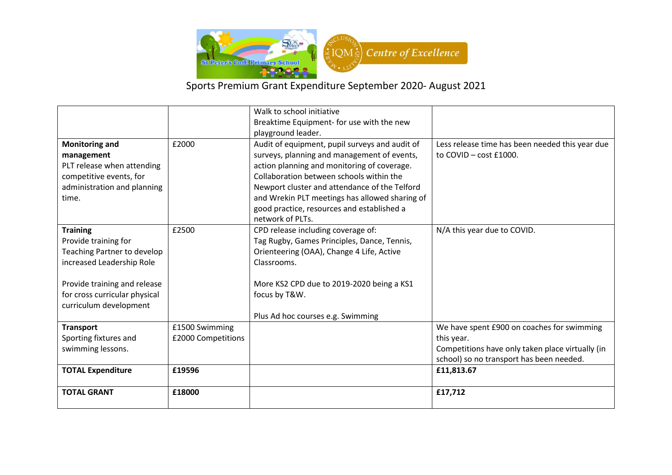

## Sports Premium Grant Expenditure September 2020- August 2021

|                               |                    | Walk to school initiative                      |                                                  |
|-------------------------------|--------------------|------------------------------------------------|--------------------------------------------------|
|                               |                    | Breaktime Equipment- for use with the new      |                                                  |
|                               |                    | playground leader.                             |                                                  |
| <b>Monitoring and</b>         | £2000              | Audit of equipment, pupil surveys and audit of | Less release time has been needed this year due  |
| management                    |                    | surveys, planning and management of events,    | to $COVID - cost f1000$ .                        |
| PLT release when attending    |                    | action planning and monitoring of coverage.    |                                                  |
| competitive events, for       |                    | Collaboration between schools within the       |                                                  |
| administration and planning   |                    | Newport cluster and attendance of the Telford  |                                                  |
| time.                         |                    | and Wrekin PLT meetings has allowed sharing of |                                                  |
|                               |                    | good practice, resources and established a     |                                                  |
|                               |                    | network of PLTs.                               |                                                  |
| <b>Training</b>               | £2500              | CPD release including coverage of:             | N/A this year due to COVID.                      |
| Provide training for          |                    | Tag Rugby, Games Principles, Dance, Tennis,    |                                                  |
| Teaching Partner to develop   |                    | Orienteering (OAA), Change 4 Life, Active      |                                                  |
| increased Leadership Role     |                    | Classrooms.                                    |                                                  |
|                               |                    |                                                |                                                  |
| Provide training and release  |                    | More KS2 CPD due to 2019-2020 being a KS1      |                                                  |
| for cross curricular physical |                    | focus by T&W.                                  |                                                  |
| curriculum development        |                    |                                                |                                                  |
|                               |                    | Plus Ad hoc courses e.g. Swimming              |                                                  |
| <b>Transport</b>              | £1500 Swimming     |                                                | We have spent £900 on coaches for swimming       |
| Sporting fixtures and         | £2000 Competitions |                                                | this year.                                       |
| swimming lessons.             |                    |                                                | Competitions have only taken place virtually (in |
|                               |                    |                                                | school) so no transport has been needed.         |
| <b>TOTAL Expenditure</b>      | £19596             |                                                | £11,813.67                                       |
|                               |                    |                                                |                                                  |
| <b>TOTAL GRANT</b>            | £18000             |                                                | £17,712                                          |
|                               |                    |                                                |                                                  |